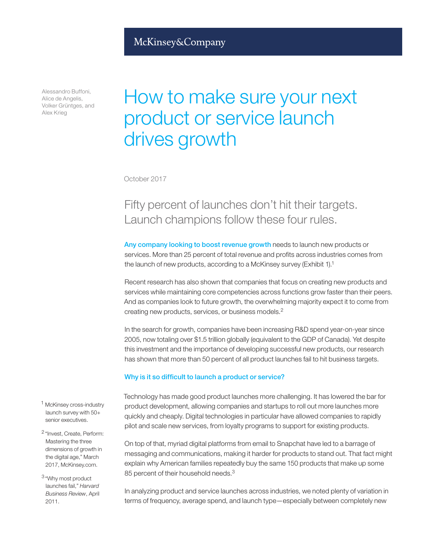# McKinsey&Company

Alessandro Buffoni, Alice de Angelis, Volker Grüntges, and Alex Krieg

# How to make sure your next product or service launch drives growth

October 2017

# Fifty percent of launches don't hit their targets. Launch champions follow these four rules.

Any company looking to boost revenue growth needs to launch new products or services. More than 25 percent of total revenue and profits across industries comes from the launch of new products, according to a McKinsey survey (Exhibit 1).1

Recent research has also shown that companies that focus on creating new products and services while maintaining core competencies across functions grow faster than their peers. And as companies look to future growth, the overwhelming majority expect it to come from creating new products, services, or business models.2

In the search for growth, companies have been increasing R&D spend year-on-year since 2005, now totaling over \$1.5 trillion globally (equivalent to the GDP of Canada). Yet despite this investment and the importance of developing successful new products, our research has shown that more than 50 percent of all product launches fail to hit business targets.

#### Why is it so difficult to launch a product or service?

Technology has made good product launches more challenging. It has lowered the bar for product development, allowing companies and startups to roll out more launches more quickly and cheaply. Digital technologies in particular have allowed companies to rapidly pilot and scale new services, from loyalty programs to support for existing products.

On top of that, myriad digital platforms from email to Snapchat have led to a barrage of messaging and communications, making it harder for products to stand out. That fact might explain why American families repeatedly buy the same 150 products that make up some 85 percent of their household needs.<sup>3</sup>

In analyzing product and service launches across industries, we noted plenty of variation in terms of frequency, average spend, and launch type—especially between completely new

- <sup>1</sup> McKinsey cross-industry launch survey with 50+ senior executives.
- <sup>2</sup> "Invest, Create, Perform: Mastering the three dimensions of growth in the digital age," March 2017, McKinsey.com.
- <sup>3</sup> "Why most product launches fail," *Harvard Business Review*, April 2011.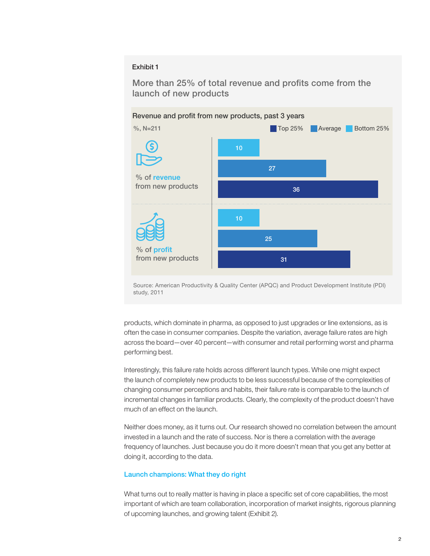#### Exhibit 1

More than 25% of total revenue and profits come from the launch of new products



Source: American Productivity & Quality Center (APQC) and Product Development Institute (PDI) study, 2011

products, which dominate in pharma, as opposed to just upgrades or line extensions, as is often the case in consumer companies. Despite the variation, average failure rates are high across the board—over 40 percent—with consumer and retail performing worst and pharma performing best.

Interestingly, this failure rate holds across different launch types. While one might expect the launch of completely new products to be less successful because of the complexities of changing consumer perceptions and habits, their failure rate is comparable to the launch of incremental changes in familiar products. Clearly, the complexity of the product doesn't have much of an effect on the launch.

Neither does money, as it turns out. Our research showed no correlation between the amount invested in a launch and the rate of success. Nor is there a correlation with the average frequency of launches. Just because you do it more doesn't mean that you get any better at doing it, according to the data.

#### Launch champions: What they do right

What turns out to really matter is having in place a specific set of core capabilities, the most important of which are team collaboration, incorporation of market insights, rigorous planning of upcoming launches, and growing talent (Exhibit 2).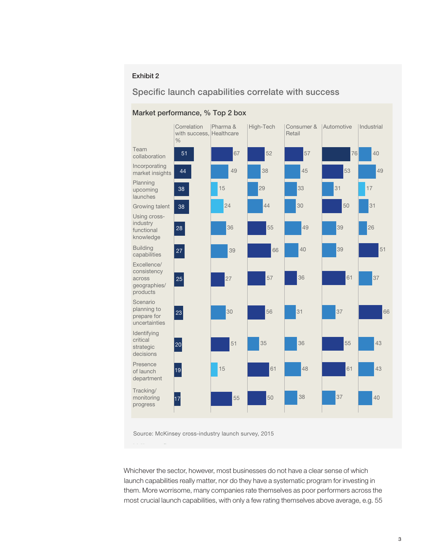## Exhibit 2

## Specific launch capabilities correlate with success



#### Market performance, % Top 2 box

Source: McKinsey cross-industry launch survey, 2015

Whichever the sector, however, most businesses do not have a clear sense of which launch capabilities really matter, nor do they have a systematic program for investing in them. More worrisome, many companies rate themselves as poor performers across the most crucial launch capabilities, with only a few rating themselves above average, e.g. 55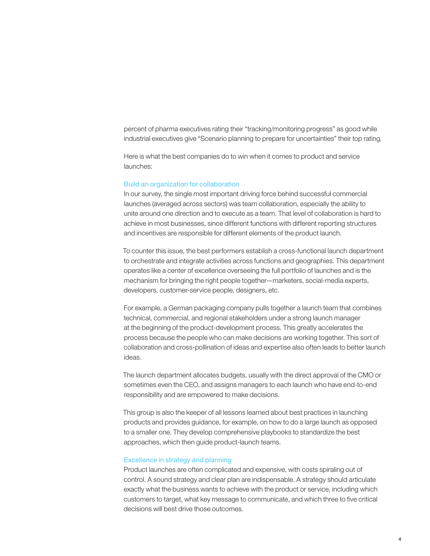percent of pharma executives rating their "tracking/monitoring progress" as good while industrial executives give "Scenario planning to prepare for uncertainties" their top rating.

Here is what the best companies do to win when it comes to product and service launches:

#### Build an organization for collaboration

In our survey, the single most important driving force behind successful commercial launches (averaged across sectors) was team collaboration, especially the ability to unite around one direction and to execute as a team. That level of collaboration is hard to achieve in most businesses, since different functions with different reporting structures and incentives are responsible for different elements of the product launch.

To counter this issue, the best performers establish a cross-functional launch department to orchestrate and integrate activities across functions and geographies. This department operates like a center of excellence overseeing the full portfolio of launches and is the mechanism for bringing the right people together—marketers, social-media experts, developers, customer-service people, designers, etc.

For example, a German packaging company pulls together a launch team that combines technical, commercial, and regional stakeholders under a strong launch manager at the beginning of the product-development process. This greatly accelerates the process because the people who can make decisions are working together. This sort of collaboration and cross-pollination of ideas and expertise also often leads to better launch ideas.

The launch department allocates budgets, usually with the direct approval of the CMO or sometimes even the CEO, and assigns managers to each launch who have end-to-end responsibility and are empowered to make decisions.

This group is also the keeper of all lessons learned about best practices in launching products and provides guidance, for example, on how to do a large launch as opposed to a smaller one. They develop comprehensive playbooks to standardize the best approaches, which then guide product-launch teams.

#### Excellence in strategy and planning

Product launches are often complicated and expensive, with costs spiraling out of control. A sound strategy and clear plan are indispensable. A strategy should articulate exactly what the business wants to achieve with the product or service, including which customers to target, what key message to communicate, and which three to five critical decisions will best drive those outcomes.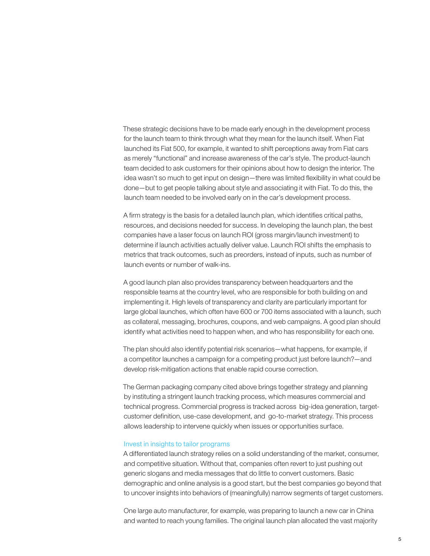These strategic decisions have to be made early enough in the development process for the launch team to think through what they mean for the launch itself. When Fiat launched its Fiat 500, for example, it wanted to shift perceptions away from Fiat cars as merely "functional" and increase awareness of the car's style. The product-launch team decided to ask customers for their opinions about how to design the interior. The idea wasn't so much to get input on design—there was limited flexibility in what could be done—but to get people talking about style and associating it with Fiat. To do this, the launch team needed to be involved early on in the car's development process.

A firm strategy is the basis for a detailed launch plan, which identifies critical paths, resources, and decisions needed for success. In developing the launch plan, the best companies have a laser focus on launch ROI (gross margin/launch investment) to determine if launch activities actually deliver value. Launch ROI shifts the emphasis to metrics that track outcomes, such as preorders, instead of inputs, such as number of launch events or number of walk-ins.

A good launch plan also provides transparency between headquarters and the responsible teams at the country level, who are responsible for both building on and implementing it. High levels of transparency and clarity are particularly important for large global launches, which often have 600 or 700 items associated with a launch, such as collateral, messaging, brochures, coupons, and web campaigns. A good plan should identify what activities need to happen when, and who has responsibility for each one.

The plan should also identify potential risk scenarios—what happens, for example, if a competitor launches a campaign for a competing product just before launch?—and develop risk-mitigation actions that enable rapid course correction.

The German packaging company cited above brings together strategy and planning by instituting a stringent launch tracking process, which measures commercial and technical progress. Commercial progress is tracked across big-idea generation, targetcustomer definition, use-case development, and go-to-market strategy. This process allows leadership to intervene quickly when issues or opportunities surface.

#### Invest in insights to tailor programs

A differentiated launch strategy relies on a solid understanding of the market, consumer, and competitive situation. Without that, companies often revert to just pushing out generic slogans and media messages that do little to convert customers. Basic demographic and online analysis is a good start, but the best companies go beyond that to uncover insights into behaviors of (meaningfully) narrow segments of target customers.

One large auto manufacturer, for example, was preparing to launch a new car in China and wanted to reach young families. The original launch plan allocated the vast majority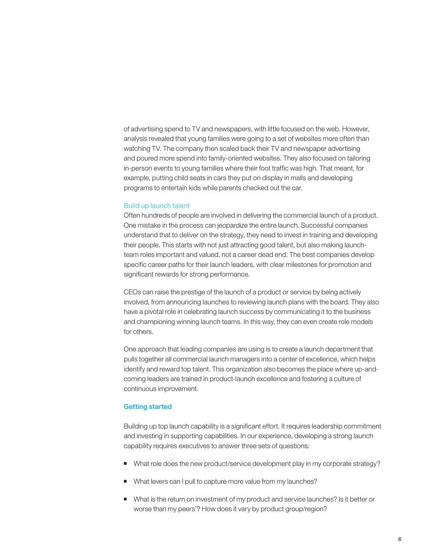of advertising spend to TV and newspapers, with little focused on the web. However, analysis revealed that young families were going to a set of websites more often than watching TV. The company then scaled back their TV and newspaper advertising and poured more spend into family-oriented websites. They also focused on tailoring in-person events to young families where their foot traffic was high. That meant, for example, putting child seats in cars they put on display in malls and developing programs to entertain kids while parents checked out the car.

#### Build up launch talent

Often hundreds of people are involved in delivering the commercial launch of a product. One mistake in the process can jeopardize the entire launch. Successful companies understand that to deliver on the strategy, they need to invest in training and developing their people. This starts with not just attracting good talent, but also making launchteam roles important and valued, not a career dead end. The best companies develop specific career paths for their launch leaders, with clear milestones for promotion and significant rewards for strong performance.

CEOs can raise the prestige of the launch of a product or service by being actively involved, from announcing launches to reviewing launch plans with the board. They also have a pivotal role in celebrating launch success by communicating it to the business and championing winning launch teams. In this way, they can even create role models for others.

One approach that leading companies are using is to create a launch department that pulls together all commercial launch managers into a center of excellence, which helps identify and reward top talent. This organization also becomes the place where up-andcoming leaders are trained in product-launch excellence and fostering a culture of continuous improvement.

#### Getting started

Building up top launch capability is a significant effort. It requires leadership commitment and investing in supporting capabilities. In our experience, developing a strong launch capability requires executives to answer three sets of questions:

- What role does the new product/service development play in my corporate strategy?
- What levers can I pull to capture more value from my launches?
- What is the return on investment of my product and service launches? Is it better or worse than my peers'? How does it vary by product group/region?